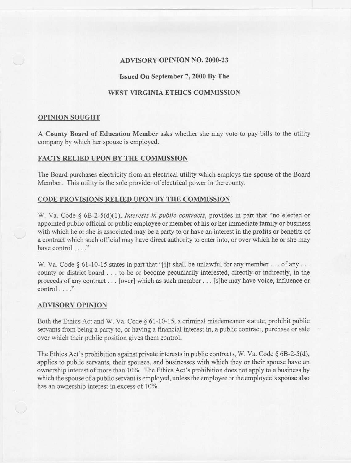## ADVISORY OPINION NO. 2000-23

### Issued On September 7, 2000 By The

# WEST VIRGINIA ETHICS COMMISSION

#### OPINION SOUGHT

A County Board of Education Member asks whether she may vote to pay bills to the utility company by which her spouse is employed.

## FACTS RELIED UPON BY THE COMMISSION

The Board purchases electricity from an electrical utility which employs the spouse of the Board Member. This utility is the sole provider of electrical power in the county.

#### CODE PROVISIONS RELIED UPON BY THE COMMISSION

w. Va. Code § 6B-2-5(d)(1), *Interests in public contracts,* provides in part that "no elected or appointed public official or public employee or member of his or her immediate family or business with which he or she is associated may be a party to or have an interest in the profits or benefits of a contract which such official may have direct authority to enter into, or over which he or she may have control...."

W. Va. Code § 61-10-15 states in part that "[i]t shall be unlawful for any member... of any ... county or district board . . . to be or become pecuniarily interested, directly or indirectly, in the proceeds of any contract... [over] which as such member... [s]he may have voice, influence or control . . . ."

#### ADVISORY OPINION

Both the Ethics Act and W. Va. Code § 61-10-15, a criminal misdemeanor statute, prohibit public servants from being a party to, or having a financial interest in, a public contract, purchase or sale over which their public position gives them control.

The Ethics Act's prohibition against private interests in public contracts, W. Va. Code  $\S$  6B-2-5(d), applies to public servants, their spouses, and businesses with which they or their spouse have an ownership interest of more than 10%. The Ethics Act's prohibition does not apply to a business by which the spouse of a public servant is employed, unless the employee or the employee's spouse also has an ownership interest in excess of 10%.